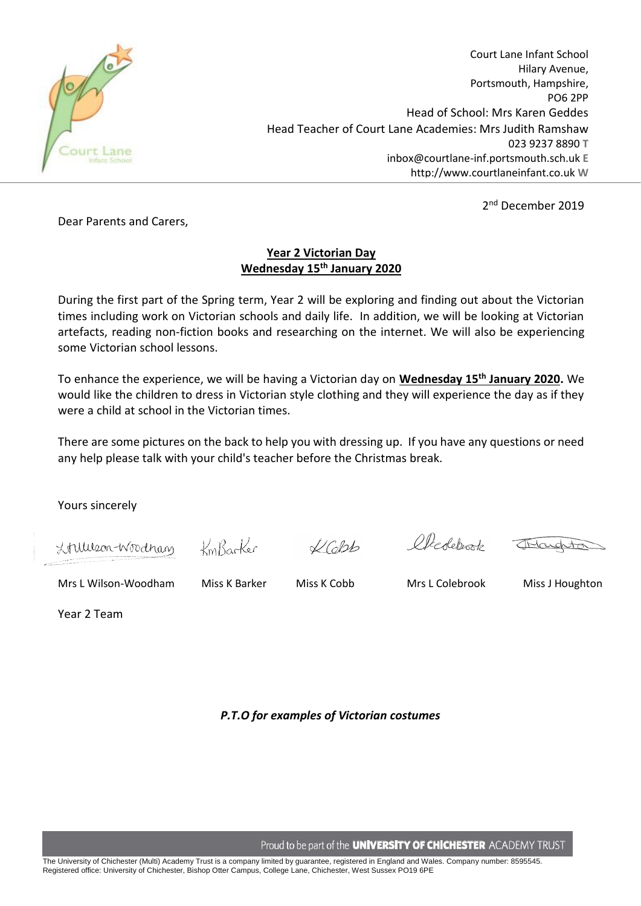

Court Lane Infant School Hilary Avenue, Portsmouth, Hampshire, PO6 2PP Head of School: Mrs Karen Geddes Head Teacher of Court Lane Academies: Mrs Judith Ramshaw 023 9237 8890 **T** inbox@courtlane-inf.portsmouth.sch.uk **E** http://www.courtlaneinfant.co.uk **W**

2<sup>nd</sup> December 2019

Dear Parents and Carers,

## **Year 2 Victorian Day Wednesday 15th January 2020**

During the first part of the Spring term, Year 2 will be exploring and finding out about the Victorian times including work on Victorian schools and daily life. In addition, we will be looking at Victorian artefacts, reading non-fiction books and researching on the internet. We will also be experiencing some Victorian school lessons.

To enhance the experience, we will be having a Victorian day on **Wednesday 15th January 2020.** We would like the children to dress in Victorian style clothing and they will experience the day as if they were a child at school in the Victorian times.

There are some pictures on the back to help you with dressing up. If you have any questions or need any help please talk with your child's teacher before the Christmas break.

Yours sincerely

Lituluson-Woodham

KmRacker

 $L$ Colab

Chedebook

Mrs L Wilson-Woodham Miss K Barker Miss K Cobb Mrs L Colebrook Miss J Houghton

Year 2 Team

*P.T.O for examples of Victorian costumes*

Proud to be part of the **UNIVERSITY OF CHICHESTER** ACADEMY TRUST

The University of Chichester (Multi) Academy Trust is a company limited by guarantee, registered in England and Wales. Company number: 8595545. Registered office: University of Chichester, Bishop Otter Campus, College Lane, Chichester, West Sussex PO19 6PE